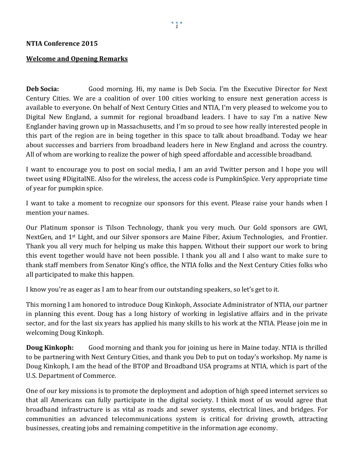## **Welcome and Opening Remarks**

**Deb Socia:** Good morning. Hi, my name is Deb Socia. I'm the Executive Director for Next Century Cities. We are a coalition of over 100 cities working to ensure next generation access is available to everyone. On behalf of Next Century Cities and NTIA, I'm very pleased to welcome you to Digital New England, a summit for regional broadband leaders. I have to say I'm a native New Englander having grown up in Massachusetts, and I'm so proud to see how really interested people in this part of the region are in being together in this space to talk about broadband. Today we hear about successes and barriers from broadband leaders here in New England and across the country. All of whom are working to realize the power of high speed affordable and accessible broadband.

I want to encourage you to post on social media, I am an avid Twitter person and I hope you will tweet using #DigitalNE. Also for the wireless, the access code is PumpkinSpice. Very appropriate time of year for pumpkin spice.

I want to take a moment to recognize our sponsors for this event. Please raise your hands when I mention your names.

Our Platinum sponsor is Tilson Technology, thank you very much. Our Gold sponsors are GWI, NextGen, and 1st Light, and our Silver sponsors are Maine Fiber, Axium Technologies, and Frontier. Thank you all very much for helping us make this happen. Without their support our work to bring this event together would have not been possible. I thank you all and I also want to make sure to thank staff members from Senator King's office, the NTIA folks and the Next Century Cities folks who all participated to make this happen.

I know you're as eager as I am to hear from our outstanding speakers, so let's get to it.

This morning I am honored to introduce Doug Kinkoph, Associate Administrator of NTIA, our partner in planning this event. Doug has a long history of working in legislative affairs and in the private sector, and for the last six years has applied his many skills to his work at the NTIA. Please join me in welcoming Doug Kinkoph.

**Doug Kinkoph:** Good morning and thank you for joining us here in Maine today. NTIA is thrilled to be partnering with Next Century Cities, and thank you Deb to put on today's workshop. My name is Doug Kinkoph, I am the head of the BTOP and Broadband USA programs at NTIA, which is part of the U.S. Department of Commerce.

One of our key missions is to promote the deployment and adoption of high speed internet services so that all Americans can fully participate in the digital society. I think most of us would agree that broadband infrastructure is as vital as roads and sewer systems, electrical lines, and bridges. For communities an advanced telecommunications system is critical for driving growth, attracting businesses, creating jobs and remaining competitive in the information age economy.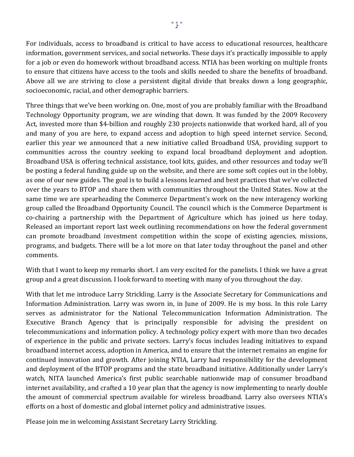For individuals, access to broadband is critical to have access to educational resources, healthcare information, government services, and social networks. These days it's practically impossible to apply for a job or even do homework without broadband access. NTIA has been working on multiple fronts to ensure that citizens have access to the tools and skills needed to share the benefits of broadband. Above all we are striving to close a persistent digital divide that breaks down a long geographic, socioeconomic, racial, and other demographic barriers.

Three things that we've been working on. One, most of you are probably familiar with the Broadband Technology Opportunity program, we are winding that down. It was funded by the 2009 Recovery Act, invested more than \$4-billion and roughly 230 projects nationwide that worked hard, all of you and many of you are here, to expand access and adoption to high speed internet service. Second, earlier this year we announced that a new initiative called Broadband USA, providing support to communities across the country seeking to expand local broadband deployment and adoption. Broadband USA is offering technical assistance, tool kits, guides, and other resources and today we'll be posting a federal funding guide up on the website, and there are some soft copies out in the lobby, as one of our new guides. The goal is to build a lessons learned and best practices that we've collected over the years to BTOP and share them with communities throughout the United States. Now at the same time we are spearheading the Commerce Department's work on the new interagency working group called the Broadband Opportunity Council. The council which is the Commerce Department is co-chairing a partnership with the Department of Agriculture which has joined us here today. Released an important report last week outlining recommendations on how the federal government can promote broadband investment competition within the scope of existing agencies, missions, programs, and budgets. There will be a lot more on that later today throughout the panel and other comments.

With that I want to keep my remarks short. I am very excited for the panelists. I think we have a great group and a great discussion. I look forward to meeting with many of you throughout the day.

With that let me introduce Larry Strickling. Larry is the Associate Secretary for Communications and Information Administration. Larry was sworn in, in June of 2009. He is my boss. In this role Larry serves as administrator for the National Telecommunication Information Administration. The Executive Branch Agency that is principally responsible for advising the president on telecommunications and information policy. A technology policy expert with more than two decades of experience in the public and private sectors. Larry's focus includes leading initiatives to expand broadband internet access, adoption in America, and to ensure that the internet remains an engine for continued innovation and growth. After joining NTIA, Larry had responsibility for the development and deployment of the BTOP programs and the state broadband initiative. Additionally under Larry's watch, NITA launched America's first public searchable nationwide map of consumer broadband internet availability, and crafted a 10 year plan that the agency is now implementing to nearly double the amount of commercial spectrum available for wireless broadband. Larry also oversees NTIA's efforts on a host of domestic and global internet policy and administrative issues.

Please join me in welcoming Assistant Secretary Larry Strickling.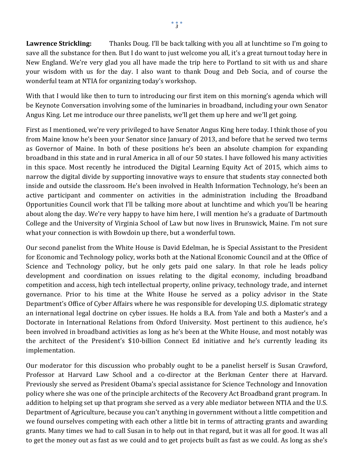**Lawrence Strickling:** Thanks Doug. I'll be back talking with you all at lunchtime so I'm going to save all the substance for then. But I do want to just welcome you all, it's a great turnout today here in New England. We're very glad you all have made the trip here to Portland to sit with us and share your wisdom with us for the day. I also want to thank Doug and Deb Socia, and of course the wonderful team at NTIA for organizing today's workshop.

With that I would like then to turn to introducing our first item on this morning's agenda which will be Keynote Conversation involving some of the luminaries in broadband, including your own Senator Angus King. Let me introduce our three panelists, we'll get them up here and we'll get going.

First as I mentioned, we're very privileged to have Senator Angus King here today. I think those of you from Maine know he's been your Senator since January of 2013, and before that he served two terms as Governor of Maine. In both of these positions he's been an absolute champion for expanding broadband in this state and in rural America in all of our 50 states. I have followed his many activities in this space. Most recently he introduced the Digital Learning Equity Act of 2015, which aims to narrow the digital divide by supporting innovative ways to ensure that students stay connected both inside and outside the classroom. He's been involved in Health Information Technology, he's been an active participant and commenter on activities in the administration including the Broadband Opportunities Council work that I'll be talking more about at lunchtime and which you'll be hearing about along the day. We're very happy to have him here, I will mention he's a graduate of Dartmouth College and the University of Virginia School of Law but now lives in Brunswick, Maine. I'm not sure what your connection is with Bowdoin up there, but a wonderful town.

Our second panelist from the White House is David Edelman, he is Special Assistant to the President for Economic and Technology policy, works both at the National Economic Council and at the Office of Science and Technology policy, but he only gets paid one salary. In that role he leads policy development and coordination on issues relating to the digital economy, including broadband competition and access, high tech intellectual property, online privacy, technology trade, and internet governance. Prior to his time at the White House he served as a policy advisor in the State Department's Office of Cyber Affairs where he was responsible for developing U.S. diplomatic strategy an international legal doctrine on cyber issues. He holds a B.A. from Yale and both a Master's and a Doctorate in International Relations from Oxford University. Most pertinent to this audience, he's been involved in broadband activities as long as he's been at the White House, and most notably was the architect of the President's \$10-billion Connect Ed initiative and he's currently leading its implementation.

Our moderator for this discussion who probably ought to be a panelist herself is Susan Crawford, Professor at Harvard Law School and a co-director at the Berkman Center there at Harvard. Previously she served as President Obama's special assistance for Science Technology and Innovation policy where she was one of the principle architects of the Recovery Act Broadband grant program. In addition to helping set up that program she served as a very able mediator between NTIA and the U.S. Department of Agriculture, because you can't anything in government without a little competition and we found ourselves competing with each other a little bit in terms of attracting grants and awarding grants. Many times we had to call Susan in to help out in that regard, but it was all for good. It was all to get the money out as fast as we could and to get projects built as fast as we could. As long as she's